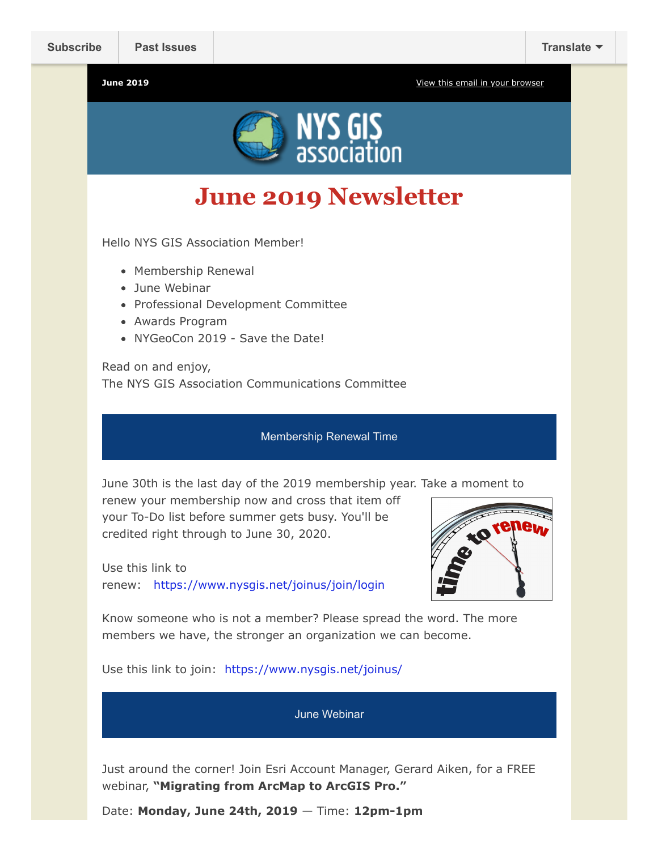**June 2019** [View this email in your browser](https://mailchi.mp/036663c6f0f2/newsletter-2971881?e=fca453a3fa)



**June 2019 Newsletter**

Hello NYS GIS Association Member!

- Membership Renewal
- June Webinar
- Professional Development Committee
- Awards Program
- NYGeoCon 2019 Save the Date!

Read on and enjoy, The NYS GIS Association Communications Committee

#### Membership Renewal Time

June 30th is the last day of the 2019 membership year. Take a moment to

renew your membership now and cross that item off your To-Do list before summer gets busy. You'll be credited right through to June 30, 2020.

Use this link to renew: <https://www.nysgis.net/joinus/join/login>



Know someone who is not a member? Please spread the word. The more members we have, the stronger an organization we can become.

Use this link to join: <https://www.nysgis.net/joinus/>

June Webinar

Just around the corner! Join Esri Account Manager, Gerard Aiken, for a FREE webinar, **"Migrating from ArcMap to ArcGIS Pro."**

Date: **Monday, June 24th, 2019** — Time: **12pm-1pm**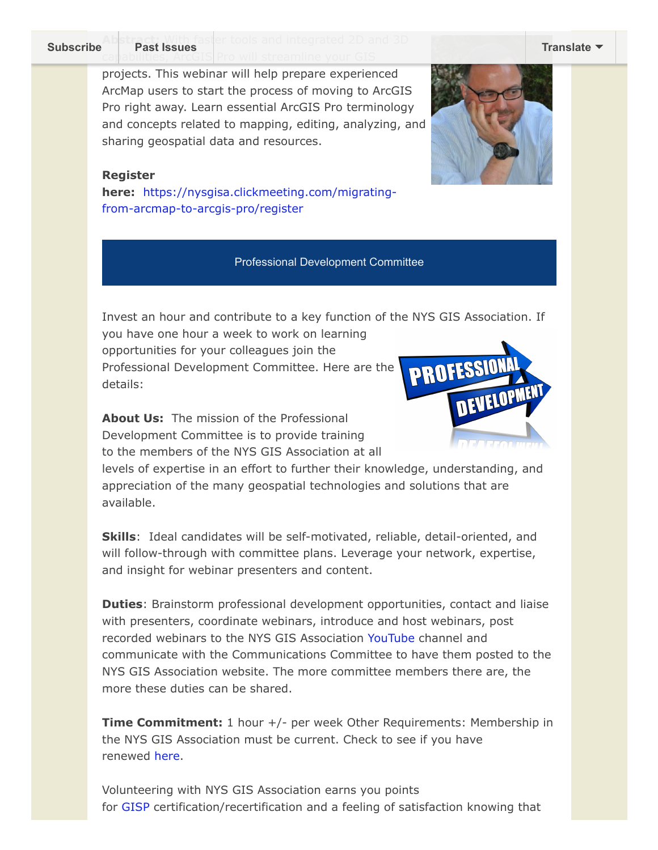# **Subscribe<sup>Abistract: With faster tools and integrated 2D and 3D**</sup> **Past Issues [Translate](javascript:;)**

projects. This webinar will help prepare experienced ArcMap users to start the process of moving to ArcGIS Pro right away. Learn essential ArcGIS Pro terminology and concepts related to mapping, editing, analyzing, and sharing geospatial data and resources.

### **Register**

**here:** [https://nysgisa.clickmeeting.com/migrating](https://nysgisa.clickmeeting.com/migrating-from-arcmap-to-arcgis-pro/register)from-arcmap-to-arcgis-pro/register

## Professional Development Committee

Invest an hour and contribute to a key function of the NYS GIS Association. If

you have one hour a week to work on learning opportunities for your colleagues join the Professional Development Committee. Here are the details:

**About Us:** The mission of the Professional Development Committee is to provide training to the members of the NYS GIS Association at all

levels of expertise in an effort to further their knowledge, understanding, and appreciation of the many geospatial technologies and solutions that are available.

**Skills**: Ideal candidates will be self-motivated, reliable, detail-oriented, and will follow-through with committee plans. Leverage your network, expertise, and insight for webinar presenters and content.

**Duties**: Brainstorm professional development opportunities, contact and liaise with presenters, coordinate webinars, introduce and host webinars, post recorded webinars to the NYS GIS Association [YouTube](https://www.youtube.com/user/NYSGISA) channel and communicate with the Communications Committee to have them posted to the NYS GIS Association website. The more committee members there are, the more these duties can be shared.

**Time Commitment:** 1 hour +/- per week Other Requirements: Membership in the NYS GIS Association must be current. Check to see if you have renewed [here](https://nysgis.us9.list-manage.com/track/click?u=79136ebe8b18b11ee073cc61c&id=a4ab567510&e=1fd505803c).

Volunteering with NYS GIS Association earns you points fo[r GISP](https://nysgis.us9.list-manage.com/track/click?u=79136ebe8b18b11ee073cc61c&id=eb28fe02ea&e=1fd505803c) certification/recertification and a feeling of satisfaction knowing that



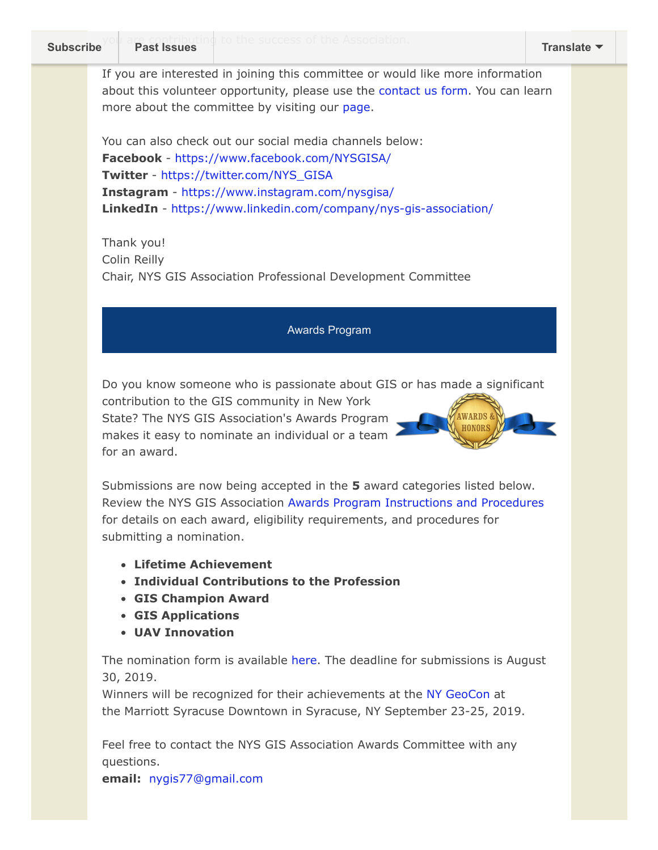If you are interested in joining this committee or would like more information about this volunteer opportunity, please use the [contact us form.](https://nysgis.us9.list-manage.com/track/click?u=79136ebe8b18b11ee073cc61c&id=0ff4a6064d&e=1fd505803c) You can learn more about the committee by visiting our [page.](https://www.nysgis.net/committees/professional-development/)

You can also check out our social media channels below: **Facebook** - [https://www.facebook.com/NYSGISA/](https://nysgis.us9.list-manage.com/track/click?u=79136ebe8b18b11ee073cc61c&id=6b58099ee2&e=1fd505803c) **Twitter** - [https://twitter.com/NYS\\_GISA](https://nysgis.us9.list-manage.com/track/click?u=79136ebe8b18b11ee073cc61c&id=569a491946&e=1fd505803c) **Instagram** - [https://www.instagram.com/nysgisa/](https://nysgis.us9.list-manage.com/track/click?u=79136ebe8b18b11ee073cc61c&id=a3517a9546&e=1fd505803c) **LinkedIn** - [https://www.linkedin.com/company/nys-gis-association/](https://nysgis.us9.list-manage.com/track/click?u=79136ebe8b18b11ee073cc61c&id=f3f9446732&e=1fd505803c)

Thank you! Colin Reilly Chair, NYS GIS Association Professional Development Committee

## Awards Program

Do you know someone who is passionate about GIS or has made a significant

contribution to the GIS community in New York State? The NYS GIS Association's Awards Program makes it easy to nominate an individual or a team for an award.



Submissions are now being accepted in the **5** award categories listed below. Review the NYS GIS Association [Awards Program Instructions and Procedures](https://res.cloudinary.com/nysgisassociation/image/upload/v1553819436/NYSGISAwardProgram_Procedures_UPD_gcc4u4.pdf) for details on each award, eligibility requirements, and procedures for submitting a nomination.

- **Lifetime Achievement**
- **Individual Contributions to the Profession**
- **GIS Champion Award**
- **GIS Applications**
- **UAV Innovation**

The nomination form is available [here.](https://fs27.formsite.com/jcWFhs/7mfcpegtci/index.html) The deadline for submissions is August 30, 2019.

Winners will be recognized for their achievements at the [NY GeoCon](https://nysgis.net/nygeocon2019/) at the Marriott Syracuse Downtown in Syracuse, NY September 23-25, 2019.

Feel free to contact the NYS GIS Association Awards Committee with any questions.

**email:** [nygis77@gmail.com](mailto:nygis77@gmail.com)